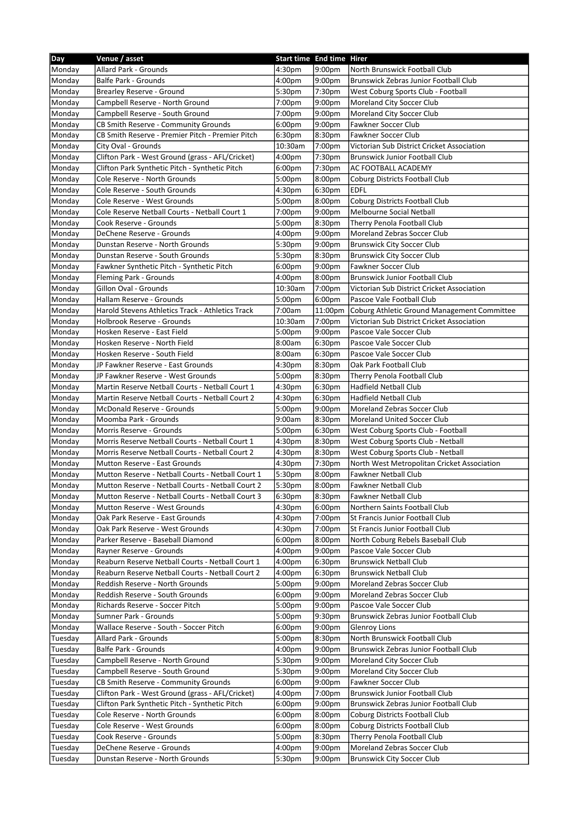| Day     | Venue / asset                                     | Start time End time Hirer |                    |                                             |
|---------|---------------------------------------------------|---------------------------|--------------------|---------------------------------------------|
| Monday  | <b>Allard Park - Grounds</b>                      | 4:30pm                    | 9:00pm             | North Brunswick Football Club               |
| Monday  | <b>Balfe Park - Grounds</b>                       | 4:00 <sub>pm</sub>        | 9:00pm             | Brunswick Zebras Junior Football Club       |
| Monday  | Brearley Reserve - Ground                         | 5:30pm                    | 7:30pm             | West Coburg Sports Club - Football          |
| Monday  | Campbell Reserve - North Ground                   | 7:00pm                    | 9:00pm             | <b>Moreland City Soccer Club</b>            |
| Monday  | Campbell Reserve - South Ground                   | 7:00pm                    | 9:00pm             | Moreland City Soccer Club                   |
| Monday  | CB Smith Reserve - Community Grounds              | 6:00 <sub>pm</sub>        | 9:00 <sub>pm</sub> | Fawkner Soccer Club                         |
| Monday  | CB Smith Reserve - Premier Pitch - Premier Pitch  | 6:30pm                    | 8:30pm             | Fawkner Soccer Club                         |
| Monday  | City Oval - Grounds                               | 10:30am                   | 7:00pm             | Victorian Sub District Cricket Association  |
| Monday  | Clifton Park - West Ground (grass - AFL/Cricket)  | 4:00 <sub>pm</sub>        | 7:30pm             | <b>Brunswick Junior Football Club</b>       |
| Monday  | Clifton Park Synthetic Pitch - Synthetic Pitch    | 6:00 <sub>pm</sub>        | 7:30pm             | AC FOOTBALL ACADEMY                         |
| Monday  | Cole Reserve - North Grounds                      | 5:00 <sub>pm</sub>        | 8:00pm             | Coburg Districts Football Club              |
| Monday  | Cole Reserve - South Grounds                      | 4:30pm                    | 6:30pm             | <b>EDFL</b>                                 |
|         | Cole Reserve - West Grounds                       | 5:00pm                    | 8:00pm             | Coburg Districts Football Club              |
| Monday  | Cole Reserve Netball Courts - Netball Court 1     |                           |                    |                                             |
| Monday  |                                                   | 7:00pm                    | 9:00 <sub>pm</sub> | Melbourne Social Netball                    |
| Monday  | Cook Reserve - Grounds                            | 5:00pm                    | 8:30pm             | Therry Penola Football Club                 |
| Monday  | DeChene Reserve - Grounds                         | 4:00 <sub>pm</sub>        | 9:00 <sub>pm</sub> | Moreland Zebras Soccer Club                 |
| Monday  | Dunstan Reserve - North Grounds                   | 5:30pm                    | 9:00pm             | <b>Brunswick City Soccer Club</b>           |
| Monday  | Dunstan Reserve - South Grounds                   | 5:30pm                    | 8:30pm             | <b>Brunswick City Soccer Club</b>           |
| Monday  | Fawkner Synthetic Pitch - Synthetic Pitch         | 6:00 <sub>pm</sub>        | 9:00pm             | <b>Fawkner Soccer Club</b>                  |
| Monday  | Fleming Park - Grounds                            | 4:00 <sub>pm</sub>        | 8:00pm             | <b>Brunswick Junior Football Club</b>       |
| Monday  | Gillon Oval - Grounds                             | 10:30am                   | 7:00pm             | Victorian Sub District Cricket Association  |
| Monday  | Hallam Reserve - Grounds                          | 5:00pm                    | 6:00pm             | Pascoe Vale Football Club                   |
| Monday  | Harold Stevens Athletics Track - Athletics Track  | 7:00am                    | 11:00pm            | Coburg Athletic Ground Management Committee |
| Monday  | Holbrook Reserve - Grounds                        | 10:30am                   | 7:00pm             | Victorian Sub District Cricket Association  |
| Monday  | Hosken Reserve - East Field                       | 5:00pm                    | 9:00pm             | Pascoe Vale Soccer Club                     |
| Monday  | Hosken Reserve - North Field                      | 8:00am                    | 6:30pm             | Pascoe Vale Soccer Club                     |
| Monday  | Hosken Reserve - South Field                      | 8:00am                    | 6:30pm             | Pascoe Vale Soccer Club                     |
| Monday  | JP Fawkner Reserve - East Grounds                 | 4:30pm                    | 8:30pm             | Oak Park Football Club                      |
| Monday  | JP Fawkner Reserve - West Grounds                 | 5:00pm                    | 8:30pm             | Therry Penola Football Club                 |
| Monday  | Martin Reserve Netball Courts - Netball Court 1   | 4:30pm                    | 6:30pm             | <b>Hadfield Netball Club</b>                |
| Monday  | Martin Reserve Netball Courts - Netball Court 2   | 4:30pm                    | 6:30pm             | Hadfield Netball Club                       |
| Monday  | McDonald Reserve - Grounds                        | 5:00pm                    | 9:00pm             | Moreland Zebras Soccer Club                 |
| Monday  | Moomba Park - Grounds                             | 9:00am                    | 8:30pm             | <b>Moreland United Soccer Club</b>          |
| Monday  | Morris Reserve - Grounds                          | 5:00pm                    | 6:30pm             | West Coburg Sports Club - Football          |
| Monday  | Morris Reserve Netball Courts - Netball Court 1   | 4:30pm                    | 8:30pm             | West Coburg Sports Club - Netball           |
| Monday  | Morris Reserve Netball Courts - Netball Court 2   | 4:30pm                    | 8:30pm             | West Coburg Sports Club - Netball           |
| Monday  | Mutton Reserve - East Grounds                     | 4:30pm                    | 7:30pm             | North West Metropolitan Cricket Association |
| Monday  | Mutton Reserve - Netball Courts - Netball Court 1 | 5:30pm                    | 8:00pm             | Fawkner Netball Club                        |
| Monday  | Mutton Reserve - Netball Courts - Netball Court 2 | 5:30pm                    | 8:00pm             | Fawkner Netball Club                        |
| Monday  | Mutton Reserve - Netball Courts - Netball Court 3 | 6:30pm                    | 8:30pm             | Fawkner Netball Club                        |
| Monday  | Mutton Reserve - West Grounds                     | 4:30pm                    | 6:00pm             | Northern Saints Football Club               |
| Monday  | Oak Park Reserve - East Grounds                   | 4:30pm                    | 7:00pm             | St Francis Junior Football Club             |
| Monday  | Oak Park Reserve - West Grounds                   | 4:30pm                    | 7:00pm             | St Francis Junior Football Club             |
| Monday  | Parker Reserve - Baseball Diamond                 | 6:00 <sub>pm</sub>        | 8:00pm             | North Coburg Rebels Baseball Club           |
| Monday  | Rayner Reserve - Grounds                          | 4:00 <sub>pm</sub>        | 9:00pm             | Pascoe Vale Soccer Club                     |
|         | Reaburn Reserve Netball Courts - Netball Court 1  |                           |                    | <b>Brunswick Netball Club</b>               |
| Monday  |                                                   | 4:00 <sub>pm</sub>        | 6:30pm             |                                             |
| Monday  | Reaburn Reserve Netball Courts - Netball Court 2  | 4:00 <sub>pm</sub>        | 6:30pm             | <b>Brunswick Netball Club</b>               |
| Monday  | Reddish Reserve - North Grounds                   | 5:00pm                    | 9:00pm             | Moreland Zebras Soccer Club                 |
| Monday  | Reddish Reserve - South Grounds                   | 6:00 <sub>pm</sub>        | 9:00 <sub>pm</sub> | Moreland Zebras Soccer Club                 |
| Monday  | Richards Reserve - Soccer Pitch                   | 5:00pm                    | 9:00pm             | Pascoe Vale Soccer Club                     |
| Monday  | Sumner Park - Grounds                             | 5:00pm                    | 9:30pm             | Brunswick Zebras Junior Football Club       |
| Monday  | Wallace Reserve - South - Soccer Pitch            | 6:00pm                    | 9:00pm             | <b>Glenroy Lions</b>                        |
| Tuesday | Allard Park - Grounds                             | 5:00 <sub>pm</sub>        | 8:30pm             | North Brunswick Football Club               |
| Tuesday | Balfe Park - Grounds                              | 4:00 <sub>pm</sub>        | 9:00pm             | Brunswick Zebras Junior Football Club       |
| Tuesday | Campbell Reserve - North Ground                   | 5:30pm                    | 9:00pm             | Moreland City Soccer Club                   |
| Tuesday | Campbell Reserve - South Ground                   | 5:30pm                    | 9:00pm             | Moreland City Soccer Club                   |
| Tuesday | CB Smith Reserve - Community Grounds              | 6:00pm                    | 9:00pm             | Fawkner Soccer Club                         |
| Tuesday | Clifton Park - West Ground (grass - AFL/Cricket)  | 4:00pm                    | 7:00pm             | <b>Brunswick Junior Football Club</b>       |
| Tuesday | Clifton Park Synthetic Pitch - Synthetic Pitch    | 6:00pm                    | 9:00pm             | Brunswick Zebras Junior Football Club       |
| Tuesday | Cole Reserve - North Grounds                      | 6:00pm                    | 8:00pm             | Coburg Districts Football Club              |
| Tuesday | Cole Reserve - West Grounds                       | 6:00 <sub>pm</sub>        | 8:00pm             | Coburg Districts Football Club              |
| Tuesday | Cook Reserve - Grounds                            | 5:00pm                    | 8:30pm             | Therry Penola Football Club                 |
| Tuesday | DeChene Reserve - Grounds                         | 4:00pm                    | 9:00pm             | Moreland Zebras Soccer Club                 |
| Tuesday | Dunstan Reserve - North Grounds                   | 5:30pm                    | 9:00pm             | <b>Brunswick City Soccer Club</b>           |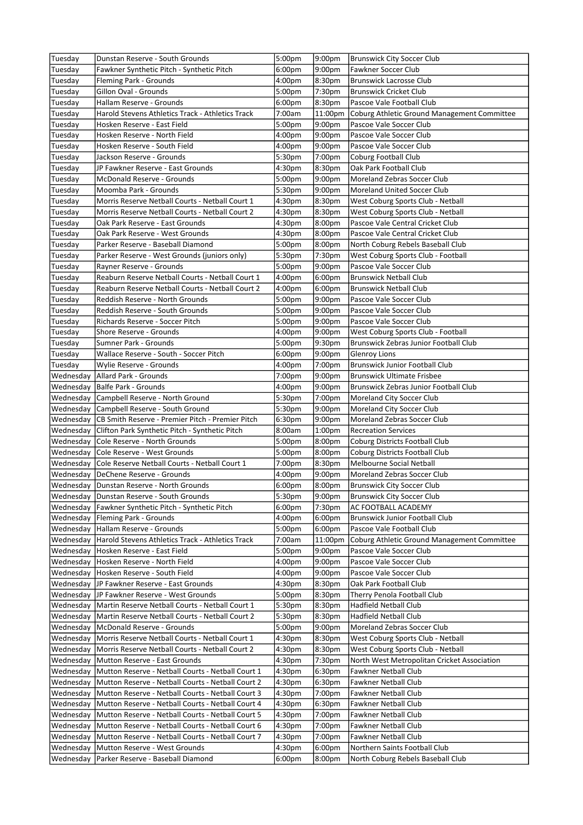| Tuesday   | Dunstan Reserve - South Grounds                             | 5:00pm             | 9:00pm             | Brunswick City Soccer Club                  |
|-----------|-------------------------------------------------------------|--------------------|--------------------|---------------------------------------------|
| Tuesday   | Fawkner Synthetic Pitch - Synthetic Pitch                   | 6:00pm             | 9:00 <sub>pm</sub> | Fawkner Soccer Club                         |
| Tuesday   | Fleming Park - Grounds                                      | 4:00pm             | 8:30pm             | Brunswick Lacrosse Club                     |
| Tuesday   | Gillon Oval - Grounds                                       | 5:00pm             | 7:30pm             | <b>Brunswick Cricket Club</b>               |
| Tuesday   | Hallam Reserve - Grounds                                    | 6:00 <sub>pm</sub> | 8:30pm             | Pascoe Vale Football Club                   |
| Tuesday   | Harold Stevens Athletics Track - Athletics Track            | 7:00am             | 11:00pm            | Coburg Athletic Ground Management Committee |
| Tuesday   | Hosken Reserve - East Field                                 | 5:00 <sub>pm</sub> | 9:00 <sub>pm</sub> | Pascoe Vale Soccer Club                     |
| Tuesday   | Hosken Reserve - North Field                                | 4:00pm             | 9:00 <sub>pm</sub> | Pascoe Vale Soccer Club                     |
| Tuesday   | Hosken Reserve - South Field                                | 4:00pm             | 9:00pm             | Pascoe Vale Soccer Club                     |
| Tuesday   | Jackson Reserve - Grounds                                   | 5:30pm             | 7:00pm             | <b>Coburg Football Club</b>                 |
| Tuesday   | JP Fawkner Reserve - East Grounds                           | 4:30pm             | 8:30pm             | Oak Park Football Club                      |
| Tuesday   | McDonald Reserve - Grounds                                  | 5:00pm             | 9:00pm             | Moreland Zebras Soccer Club                 |
| Tuesday   | Moomba Park - Grounds                                       | 5:30pm             | 9:00 <sub>pm</sub> | <b>Moreland United Soccer Club</b>          |
| Tuesday   | Morris Reserve Netball Courts - Netball Court 1             | 4:30pm             | 8:30pm             | West Coburg Sports Club - Netball           |
| Tuesday   | Morris Reserve Netball Courts - Netball Court 2             | 4:30pm             | 8:30pm             | West Coburg Sports Club - Netball           |
| Tuesday   | Oak Park Reserve - East Grounds                             | 4:30pm             | 8:00pm             | Pascoe Vale Central Cricket Club            |
| Tuesday   | Oak Park Reserve - West Grounds                             | 4:30pm             | 8:00pm             | Pascoe Vale Central Cricket Club            |
| Tuesday   | Parker Reserve - Baseball Diamond                           | 5:00pm             | 8:00pm             | North Coburg Rebels Baseball Club           |
| Tuesday   | Parker Reserve - West Grounds (juniors only)                | 5:30pm             | 7:30pm             | West Coburg Sports Club - Football          |
| Tuesday   | Rayner Reserve - Grounds                                    | 5:00pm             | 9:00pm             | Pascoe Vale Soccer Club                     |
| Tuesday   | Reaburn Reserve Netball Courts - Netball Court 1            | 4:00 <sub>pm</sub> | 6:00 <sub>pm</sub> | <b>Brunswick Netball Club</b>               |
| Tuesday   | Reaburn Reserve Netball Courts - Netball Court 2            | 4:00pm             | 6:00pm             | <b>Brunswick Netball Club</b>               |
| Tuesday   | Reddish Reserve - North Grounds                             | 5:00pm             | 9:00 <sub>pm</sub> | Pascoe Vale Soccer Club                     |
| Tuesday   | Reddish Reserve - South Grounds                             | 5:00pm             | 9:00 <sub>pm</sub> | Pascoe Vale Soccer Club                     |
| Tuesday   | Richards Reserve - Soccer Pitch                             | 5:00pm             | 9:00pm             | Pascoe Vale Soccer Club                     |
| Tuesday   | Shore Reserve - Grounds                                     | 4:00pm             | 9:00pm             | West Coburg Sports Club - Football          |
| Tuesday   | Sumner Park - Grounds                                       | 5:00 <sub>pm</sub> | 9:30pm             | Brunswick Zebras Junior Football Club       |
| Tuesday   | Wallace Reserve - South - Soccer Pitch                      | 6:00 <sub>pm</sub> | 9:00pm             | Glenroy Lions                               |
| Tuesday   | Wylie Reserve - Grounds                                     | 4:00pm             | 7:00pm             | <b>Brunswick Junior Football Club</b>       |
|           | Wednesday   Allard Park - Grounds                           | 7:00 <sub>pm</sub> | 9:00pm             | <b>Brunswick Ultimate Frisbee</b>           |
| Wednesday | Balfe Park - Grounds                                        | 4:00pm             | 9:00 <sub>pm</sub> | Brunswick Zebras Junior Football Club       |
| Wednesday | Campbell Reserve - North Ground                             | 5:30pm             | 7:00pm             | Moreland City Soccer Club                   |
|           | Wednesday Campbell Reserve - South Ground                   | 5:30pm             | 9:00 <sub>pm</sub> | Moreland City Soccer Club                   |
|           | Wednesday CB Smith Reserve - Premier Pitch - Premier Pitch  | 6:30 <sub>pm</sub> | 9:00 <sub>pm</sub> | Moreland Zebras Soccer Club                 |
| Wednesday | Clifton Park Synthetic Pitch - Synthetic Pitch              | 8:00am             | 1:00 <sub>pm</sub> | <b>Recreation Services</b>                  |
|           | Wednesday Cole Reserve - North Grounds                      | 5:00pm             | 8:00pm             | Coburg Districts Football Club              |
|           | Wednesday Cole Reserve - West Grounds                       | 5:00pm             | 8:00pm             | Coburg Districts Football Club              |
| Wednesday | Cole Reserve Netball Courts - Netball Court 1               | 7:00pm             | 8:30pm             | Melbourne Social Netball                    |
| Wednesday | DeChene Reserve - Grounds                                   | 4:00pm             | 9:00pm             | Moreland Zebras Soccer Club                 |
|           | Wednesday   Dunstan Reserve - North Grounds                 | 6:00 <sub>pm</sub> | 8:00pm             | <b>Brunswick City Soccer Club</b>           |
|           | Wednesday   Dunstan Reserve - South Grounds                 | 5:30pm             | 9:00pm             | <b>Brunswick City Soccer Club</b>           |
| Wednesday | Fawkner Synthetic Pitch - Synthetic Pitch                   | 6:00 <sub>pm</sub> | 7:30pm             | AC FOOTBALL ACADEMY                         |
|           | Wednesday   Fleming Park - Grounds                          | 4:00pm             | 6:00pm             | Brunswick Junior Football Club              |
|           | Wednesday Hallam Reserve - Grounds                          | 5:00pm             | 6:00 <sub>pm</sub> | Pascoe Vale Football Club                   |
|           | Wednesday Harold Stevens Athletics Track - Athletics Track  | 7:00am             | 11:00pm            | Coburg Athletic Ground Management Committee |
| Wednesday | Hosken Reserve - East Field                                 | 5:00pm             | 9:00 <sub>pm</sub> | Pascoe Vale Soccer Club                     |
| Wednesday | Hosken Reserve - North Field                                | 4:00pm             | 9:00pm             | Pascoe Vale Soccer Club                     |
| Wednesday | Hosken Reserve - South Field                                | 4:00pm             | 9:00pm             | Pascoe Vale Soccer Club                     |
| Wednesday | JP Fawkner Reserve - East Grounds                           | 4:30pm             | 8:30pm             | Oak Park Football Club                      |
|           | Wednesday JJP Fawkner Reserve - West Grounds                | 5:00pm             | 8:30pm             | Therry Penola Football Club                 |
|           | Wednesday Martin Reserve Netball Courts - Netball Court 1   | 5:30pm             | 8:30pm             | <b>Hadfield Netball Club</b>                |
|           | Wednesday   Martin Reserve Netball Courts - Netball Court 2 | 5:30pm             | 8:30pm             | Hadfield Netball Club                       |
| Wednesday | McDonald Reserve - Grounds                                  | 5:00pm             | 9:00 <sub>pm</sub> | Moreland Zebras Soccer Club                 |
| Wednesday | Morris Reserve Netball Courts - Netball Court 1             | 4:30pm             | 8:30pm             | West Coburg Sports Club - Netball           |
| Wednesday | Morris Reserve Netball Courts - Netball Court 2             | 4:30pm             | 8:30pm             | West Coburg Sports Club - Netball           |
| Wednesday | Mutton Reserve - East Grounds                               | 4:30pm             | 7:30 <sub>pm</sub> | North West Metropolitan Cricket Association |
| Wednesday | Mutton Reserve - Netball Courts - Netball Court 1           | 4:30pm             | 6:30 <sub>pm</sub> | Fawkner Netball Club                        |
|           | Wednesday Mutton Reserve - Netball Courts - Netball Court 2 | 4:30pm             | 6:30pm             | Fawkner Netball Club                        |
|           | Wednesday Mutton Reserve - Netball Courts - Netball Court 3 | 4:30pm             | 7:00pm             | Fawkner Netball Club                        |
| Wednesday | Mutton Reserve - Netball Courts - Netball Court 4           | 4:30pm             | 6:30pm             | <b>Fawkner Netball Club</b>                 |
| Wednesday | Mutton Reserve - Netball Courts - Netball Court 5           | 4:30pm             | 7:00pm             | <b>Fawkner Netball Club</b>                 |
| Wednesday | Mutton Reserve - Netball Courts - Netball Court 6           | 4:30pm             | 7:00pm             | Fawkner Netball Club                        |
| Wednesday | Mutton Reserve - Netball Courts - Netball Court 7           | 4:30pm             | 7:00pm             | <b>Fawkner Netball Club</b>                 |
| Wednesday | Mutton Reserve - West Grounds                               | 4:30pm             | 6:00pm             | Northern Saints Football Club               |
| Wednesday | Parker Reserve - Baseball Diamond                           | 6:00 <sub>pm</sub> | 8:00pm             | North Coburg Rebels Baseball Club           |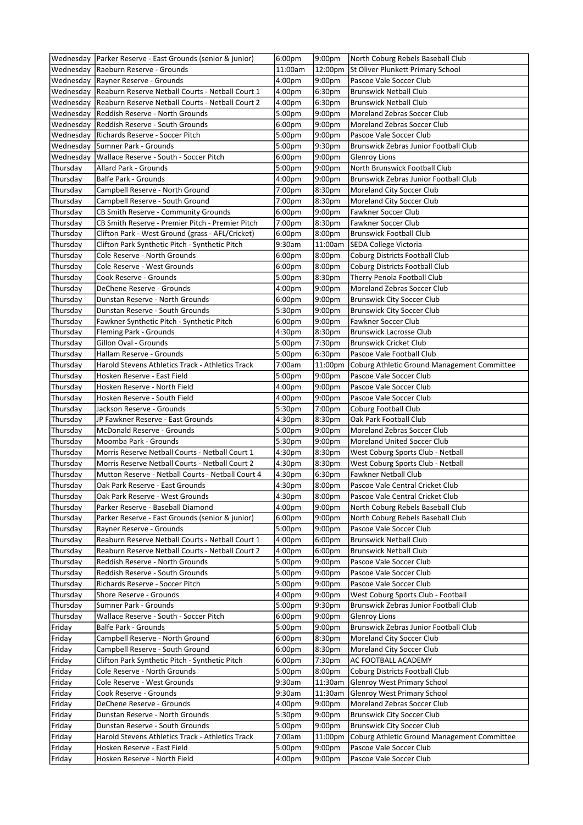|           | Wednesday   Parker Reserve - East Grounds (senior & junior)  | 6:00 <sub>pm</sub> | 9:00pm             | North Coburg Rebels Baseball Club           |
|-----------|--------------------------------------------------------------|--------------------|--------------------|---------------------------------------------|
|           | Wednesday Raeburn Reserve - Grounds                          | 11:00am            | 12:00pm            | St Oliver Plunkett Primary School           |
|           | Wednesday Rayner Reserve - Grounds                           | 4:00pm             | 9:00pm             | Pascoe Vale Soccer Club                     |
| Wednesday | Reaburn Reserve Netball Courts - Netball Court 1             | 4:00pm             | 6:30pm             | <b>Brunswick Netball Club</b>               |
|           | Wednesday   Reaburn Reserve Netball Courts - Netball Court 2 | 4:00pm             | 6:30 <sub>pm</sub> | <b>Brunswick Netball Club</b>               |
|           | Wednesday Reddish Reserve - North Grounds                    | 5:00pm             | 9:00 <sub>pm</sub> | Moreland Zebras Soccer Club                 |
|           | Wednesday Reddish Reserve - South Grounds                    | 6:00 <sub>pm</sub> | 9:00pm             | Moreland Zebras Soccer Club                 |
|           | Wednesday Richards Reserve - Soccer Pitch                    | 5:00pm             | 9:00pm             | Pascoe Vale Soccer Club                     |
|           | Wednesday Sumner Park - Grounds                              | 5:00pm             | 9:30pm             | Brunswick Zebras Junior Football Club       |
|           | Wednesday   Wallace Reserve - South - Soccer Pitch           | 6:00 <sub>pm</sub> | 9:00pm             | <b>Glenroy Lions</b>                        |
| Thursday  | Allard Park - Grounds                                        | 5:00pm             | 9:00pm             | North Brunswick Football Club               |
| Thursday  | <b>Balfe Park - Grounds</b>                                  | 4:00pm             | 9:00pm             | Brunswick Zebras Junior Football Club       |
| Thursday  | Campbell Reserve - North Ground                              | 7:00pm             | 8:30pm             | Moreland City Soccer Club                   |
| Thursday  | Campbell Reserve - South Ground                              | 7:00pm             | 8:30pm             | Moreland City Soccer Club                   |
| Thursday  | CB Smith Reserve - Community Grounds                         | 6:00 <sub>pm</sub> | 9:00 <sub>pm</sub> | Fawkner Soccer Club                         |
| Thursday  | CB Smith Reserve - Premier Pitch - Premier Pitch             | 7:00pm             | 8:30pm             | Fawkner Soccer Club                         |
| Thursday  | Clifton Park - West Ground (grass - AFL/Cricket)             | 6:00 <sub>pm</sub> | 8:00pm             | <b>Brunswick Football Club</b>              |
| Thursday  | Clifton Park Synthetic Pitch - Synthetic Pitch               | 9:30am             | 11:00am            | SEDA College Victoria                       |
| Thursday  | Cole Reserve - North Grounds                                 | 6:00 <sub>pm</sub> | 8:00pm             | Coburg Districts Football Club              |
| Thursday  | Cole Reserve - West Grounds                                  | 6:00 <sub>pm</sub> | 8:00pm             | Coburg Districts Football Club              |
|           |                                                              |                    |                    |                                             |
| Thursday  | Cook Reserve - Grounds                                       | 5:00pm             | 8:30pm             | Therry Penola Football Club                 |
| Thursday  | DeChene Reserve - Grounds                                    | 4:00pm             | 9:00pm             | Moreland Zebras Soccer Club                 |
| Thursday  | Dunstan Reserve - North Grounds                              | 6:00pm             | 9:00 <sub>pm</sub> | <b>Brunswick City Soccer Club</b>           |
| Thursday  | Dunstan Reserve - South Grounds                              | 5:30pm             | 9:00pm             | <b>Brunswick City Soccer Club</b>           |
| Thursday  | Fawkner Synthetic Pitch - Synthetic Pitch                    | 6:00 <sub>pm</sub> | 9:00pm             | <b>Fawkner Soccer Club</b>                  |
| Thursday  | Fleming Park - Grounds                                       | 4:30pm             | 8:30pm             | <b>Brunswick Lacrosse Club</b>              |
| Thursday  | Gillon Oval - Grounds                                        | 5:00pm             | 7:30pm             | <b>Brunswick Cricket Club</b>               |
| Thursday  | Hallam Reserve - Grounds                                     | 5:00pm             | 6:30 <sub>pm</sub> | Pascoe Vale Football Club                   |
| Thursday  | Harold Stevens Athletics Track - Athletics Track             | 7:00am             | 11:00pm            | Coburg Athletic Ground Management Committee |
| Thursday  | Hosken Reserve - East Field                                  | 5:00pm             | 9:00pm             | Pascoe Vale Soccer Club                     |
| Thursday  | Hosken Reserve - North Field                                 | 4:00pm             | 9:00pm             | Pascoe Vale Soccer Club                     |
| Thursday  | Hosken Reserve - South Field                                 | 4:00pm             | 9:00pm             | Pascoe Vale Soccer Club                     |
| Thursday  | Jackson Reserve - Grounds                                    | 5:30pm             | 7:00pm             | Coburg Football Club                        |
| Thursday  | JP Fawkner Reserve - East Grounds                            | 4:30pm             | 8:30pm             | Oak Park Football Club                      |
| Thursday  | McDonald Reserve - Grounds                                   | 5:00pm             | 9:00 <sub>pm</sub> | Moreland Zebras Soccer Club                 |
| Thursday  | Moomba Park - Grounds                                        | 5:30pm             | 9:00pm             | <b>Moreland United Soccer Club</b>          |
| Thursday  | Morris Reserve Netball Courts - Netball Court 1              | 4:30pm             | 8:30pm             | West Coburg Sports Club - Netball           |
| Thursday  | Morris Reserve Netball Courts - Netball Court 2              | 4:30pm             | 8:30pm             | West Coburg Sports Club - Netball           |
| Thursday  | Mutton Reserve - Netball Courts - Netball Court 4            | 4:30pm             | 6:30pm             | Fawkner Netball Club                        |
| Thursday  | Oak Park Reserve - East Grounds                              | 4:30pm             | 8:00pm             | Pascoe Vale Central Cricket Club            |
| Thursday  | Oak Park Reserve - West Grounds                              | 4:30pm             | 8:00pm             | Pascoe Vale Central Cricket Club            |
| Thursday  | Parker Reserve - Baseball Diamond                            | 4:00pm             | 9:00 <sub>pm</sub> | North Coburg Rebels Baseball Club           |
| Thursday  | Parker Reserve - East Grounds (senior & junior)              | 6:00pm             | 9:00pm             | North Coburg Rebels Baseball Club           |
| Thursday  | Rayner Reserve - Grounds                                     | 5:00pm             | 9:00pm             | Pascoe Vale Soccer Club                     |
| Thursday  | Reaburn Reserve Netball Courts - Netball Court 1             | 4:00pm             | 6:00pm             | <b>Brunswick Netball Club</b>               |
| Thursday  | Reaburn Reserve Netball Courts - Netball Court 2             | 4:00pm             | 6:00pm             | <b>Brunswick Netball Club</b>               |
| Thursday  | Reddish Reserve - North Grounds                              | 5:00pm             | 9:00pm             | Pascoe Vale Soccer Club                     |
| Thursday  | Reddish Reserve - South Grounds                              | 5:00pm             | 9:00pm             | Pascoe Vale Soccer Club                     |
| Thursday  | Richards Reserve - Soccer Pitch                              | 5:00pm             | 9:00 <sub>pm</sub> | Pascoe Vale Soccer Club                     |
| Thursday  | Shore Reserve - Grounds                                      | 4:00pm             | 9:00pm             | West Coburg Sports Club - Football          |
| Thursday  | Sumner Park - Grounds                                        | 5:00pm             | 9:30pm             | Brunswick Zebras Junior Football Club       |
| Thursday  | Wallace Reserve - South - Soccer Pitch                       | 6:00 <sub>pm</sub> | 9:00pm             | <b>Glenroy Lions</b>                        |
| Friday    | Balfe Park - Grounds                                         | 5:00pm             | 9:00pm             | Brunswick Zebras Junior Football Club       |
| Friday    | Campbell Reserve - North Ground                              | 6:00 <sub>pm</sub> | 8:30pm             | Moreland City Soccer Club                   |
| Friday    | Campbell Reserve - South Ground                              | 6:00pm             | 8:30pm             | Moreland City Soccer Club                   |
| Friday    | Clifton Park Synthetic Pitch - Synthetic Pitch               | 6:00 <sub>pm</sub> | 7:30pm             | AC FOOTBALL ACADEMY                         |
| Friday    | Cole Reserve - North Grounds                                 | 5:00pm             | 8:00pm             | Coburg Districts Football Club              |
| Friday    | Cole Reserve - West Grounds                                  | 9:30am             | 11:30am            | Glenroy West Primary School                 |
| Friday    | Cook Reserve - Grounds                                       | 9:30am             | 11:30am            | Glenroy West Primary School                 |
| Friday    | DeChene Reserve - Grounds                                    | 4:00pm             | 9:00pm             | Moreland Zebras Soccer Club                 |
| Friday    | Dunstan Reserve - North Grounds                              | 5:30pm             | 9:00pm             | <b>Brunswick City Soccer Club</b>           |
| Friday    | Dunstan Reserve - South Grounds                              | 5:00pm             | 9:00pm             | <b>Brunswick City Soccer Club</b>           |
| Friday    | Harold Stevens Athletics Track - Athletics Track             | 7:00am             | 11:00pm            | Coburg Athletic Ground Management Committee |
| Friday    | Hosken Reserve - East Field                                  | 5:00pm             | 9:00pm             | Pascoe Vale Soccer Club                     |
| Friday    | Hosken Reserve - North Field                                 | 4:00pm             | 9:00pm             | Pascoe Vale Soccer Club                     |